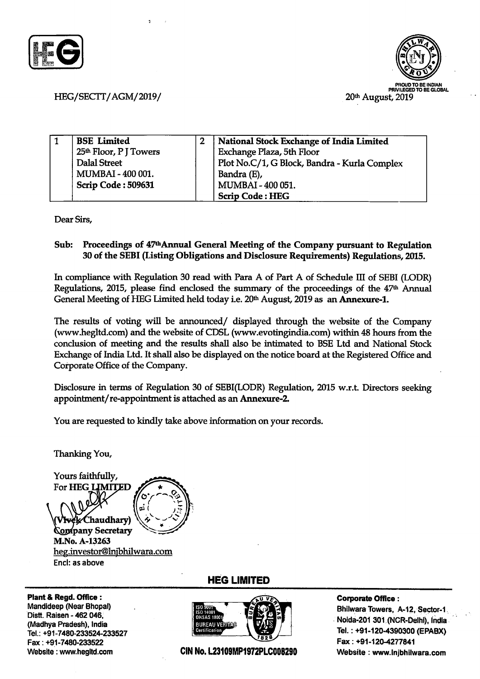



## HEG/SECTT/AGM/2019/

| <b>BSE</b> Limited                 | National Stock Exchange of India Limited     |
|------------------------------------|----------------------------------------------|
| 25 <sup>th</sup> Floor, P J Towers | Exchange Plaza, 5th Floor                    |
| <b>Dalal Street</b>                | Plot No.C/1, G Block, Bandra - Kurla Complex |
| MUMBAI - 400 001.                  | Bandra (E),                                  |
| Scrip Code: 509631                 | MUMBAI - 400 051.                            |
|                                    | <b>Scrip Code: HEG</b>                       |

Dear Sirs,

## Sub: Proceedings of 47<sup>th</sup> Annual General Meeting of the Company pursuant to Regulation 30 of the SEBI (Listing Obligations and Disclosure Requirements) Regulations,2015.

In compliance with Regulation 30 read with Para A of Part A of Schedule III of SEBI (LODR) Regulations, 2015, please find enclosed the summary of the proceedings of the 47<sup>th</sup> Annual General Meeting of HEG Limited held today i.e. 20<sup>th</sup> August, 2019 as an **Annexure-1**.

The results of voting will be announced/ displayed through the website of the Company (wwwhegltd.com) and the website of CDSL (www.evotingindia.com) within 48 hours from the conclusion of meeting and the results shall also be intimated to BSE Ltd and National Stock Exchange of India Ltd. It shall also be displayed on the notice board at the Registered Office and Corporate Office of the Company.

Disclosue in terms of Regulation 30 of SEBI(LODR) Regulation, 2015 w.r.L Directors seeking appointment/re-appointment is attached as an Annexure-2.

You are requested to kindly take above information on your records.

Thanking You,

Yours faithfully, For HEG LIMITED chaudhary) **Company Secretary** M.No. A-13263 heg.investor@lnjbhilwara.com Encl: as above

Plant& Regd. Ofhce : Mandldeep (Near Bhopal) Distt. Raisen - 462 046. (Madhya Pradesh), India Tel.: +91-7480-233524-233527 Fax: +91-7480-233522 Website : www.hegltd.com

HEG LIMITED



## Corporate Office :

Bhilwara Towers, A-12, Sector-l Noida-201 301 (NCR-Delhi), India Tel. : +91-120.4390300 (EPABX) Fax: +91-1204277841 CIN No. L23109MP1972PLC008290 Website : www.injbhilwara.com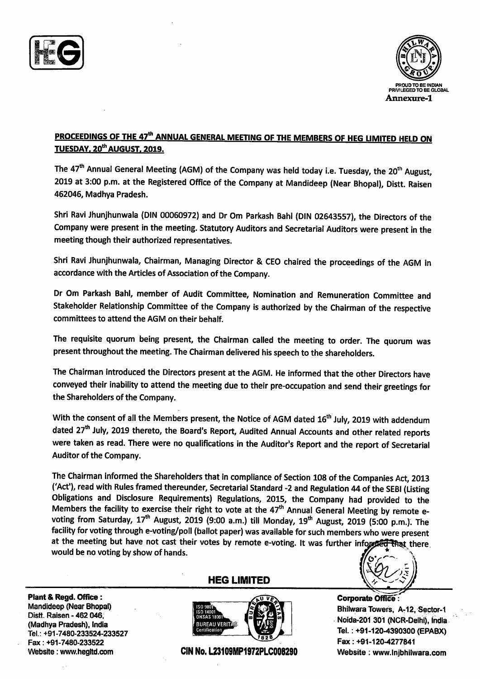



## PROCEEDINGS OF THE 47<sup>th</sup> ANNUAL GENERAL MEETING OF THE MEMBERS OF HEG LIMITED HELD ON TUESDAY, 20<sup>th</sup> AUGUST, 2019.

The 47<sup>th</sup> Annual General Meeting (AGM) of the Company was held today i.e. Tuesday, the 20<sup>th</sup> August, 2019 at 3:00 p.m. at the Registered Office of the Company at Mandideep (Near Bhopal), Distt. Raisen 462A46, Madhya Pradesh.

Shri Ravi Jhunjhunwala (DIN 00060972) and Dr Om Parkash Bahl (DIN 02643557), the Directors of the Company were present in the meeting. Statutory Auditors and Secretarial Auditors were present in the meeting though their authorized representatives.

Shri Ravi Jhunjhunwala, Chairman, Managing Director & CEO chaired the proceedings of the AGM in accordance with the Articles of Association of the Company.

Dr Om Parkash Bahl, member of Audit Committee, Nomination and Remuneration Committee and Stakeholder Relationship Committee of the Company is authorized by the Chairman of the respective committees to attend the AGM on their behalf.

The requisite quorum being present, the Chairman called the meeting to order. The quorum was present throughout the meeting. The Chairman delivered his speech to the shareholders.

The Chairman introduced the Directors present at the AGM. He informed that the other Directors have conveyed their inability to attend the meeting due to their pre-occupation and send their greetings for the Shareholders of the Company.

With the consent of all the Members present, the Notice of AGM dated 16<sup>th</sup> July, 2019 with addendum dated 27<sup>th</sup> July, 2019 thereto, the Board's Report, Audited Annual Accounts and other related reports were taken as read. There were no qualifications in the Auditor's Report and the report of Secretarial Auditor of the Company.

The Chairman informed the Shareholders that in compliance of Section 108 of the Companies Act, 2013 ('Act'), read with Rules framed thereunder, Secretarial Standard -2 and Regulation 44 of the SEBI (Listing Obligations and Disclosure Requirements) Regulations, 2015, the Company had provided to the<br>Members the facility to exercise their right to vote at the 47<sup>th</sup> Annual General Meeting by remote evoting from Saturday, 17<sup>th</sup> August, 2019 (9:00 a.m.) till Monday, 19<sup>th</sup> August, 2019 (5:00 p.m.). The facility for voting through e-voting/poll (ballot paper) was available for such members who were present at the meeting but have not cast their votes by remote e-voting. It was further inform **hat there** would be no voting by show of hands.

Plant& Regd. Office : Mandideep (Near Bhopal) Distt. Raisen - 462 046, (Madhya Pradesh), India Tel. : +91 -7480-233524-233527 Fax: +91-7480-233522 Website : www.hegltd.com

HEG LIMITED



CIN No. L23109MP1972PLC008290 Website : www.Injbhilwara.com

 $\mathbf{e}^{\mathbf{c}}$ 

**Corporate Office** Bhilwara Towers, A-12, Sector-1 Noida-2ol 301 (NGR-Delhi), india. Tel. : +91-120.4390300 (EPABX) Fax: +91-1204277841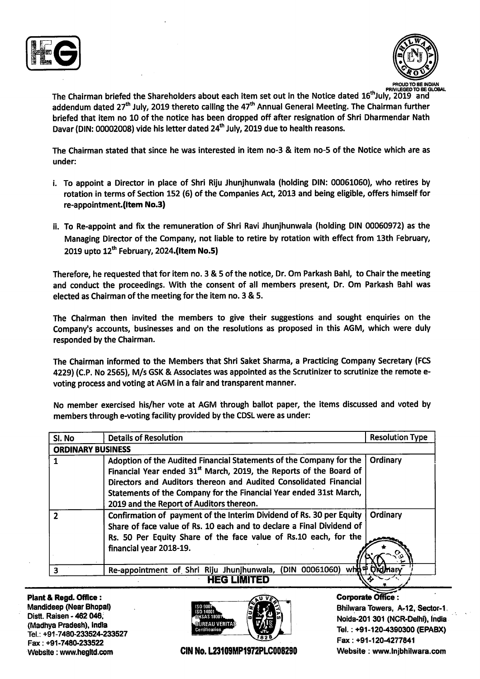



The Chairman briefed the Shareholders about each item set out in the Notice dated 16<sup>th</sup>July, 2019 and addendum dated 27<sup>th</sup> July, 2019 thereto calling the 47<sup>th</sup> Annual General Meeting. The Chairman further briefed that item no 10 of the notice has been dropped off after resignation of Shri Dharmendar Nath Davar (DIN: 00002008) vide his letter dated 24<sup>th</sup> July, 2019 due to health reasons.

The Chairman stated that since he was interested in item no-3 & item no-5 of the Notice which are as under:

- i. To appoint a Director in place of Shri Riju Jhunjhunwala (holding DIN: 00061060), who retires by rotation in terms of Section 152 (6) of the Companies Act, 2013 and being eligible, offers himself for re-appointment.(Item No.3)
- ii. To Re-appoint and fix the remuneration of Shri Ravi Jhunjhunwala (holding DIN 00060972) as the Managing Director of the Company, not liable to retire by rotation with effect from 13th February 2019 upto  $12<sup>th</sup>$  February, 2024.(Item No.5)

Therefore, he requested that for item no. 3 & 5 of the notice, Dr. Om Parkash Bahl, to Chair the meeting and conduct the proceedings. With the consent of all members present, Dr. Om Parkash Bahl was elected as Chairman of the meeting for the item no. 3 & 5.

The Chairman then invited the members to give their suggestions and sought enquiries on the Company's accounts, businesses and on the resolutions as proposed in this AGM, which were duly responded by the Chairman.

The Chairman informed to the Members that Shri Saket Sharma, a Practicing Company Secretary (FCS 4229) (C.P. No 2565), M/s GSK & Associates was appointed as the Scrutinizer to scrutinize the remote evoting process and voting at AGM in a fair and transparent manner.

No member exercised his/her vote at AGM through ballot paper, the items discussed and voted by members through e-voting facility provided by the CDSL were as under:

| SI. No | <b>Details of Resolution</b>                                                                                                                                                                                                                                                                                                                 | <b>Resolution Type</b> |
|--------|----------------------------------------------------------------------------------------------------------------------------------------------------------------------------------------------------------------------------------------------------------------------------------------------------------------------------------------------|------------------------|
|        | <b>ORDINARY BUSINESS</b>                                                                                                                                                                                                                                                                                                                     |                        |
|        | Adoption of the Audited Financial Statements of the Company for the<br>Financial Year ended 31 <sup>st</sup> March, 2019, the Reports of the Board of<br>Directors and Auditors thereon and Audited Consolidated Financial<br>Statements of the Company for the Financial Year ended 31st March,<br>2019 and the Report of Auditors thereon. | Ordinary               |
|        | Confirmation of payment of the Interim Dividend of Rs. 30 per Equity<br>Share of face value of Rs. 10 each and to declare a Final Dividend of<br>Rs. 50 Per Equity Share of the face value of Rs.10 each, for the<br>financial year 2018-19.                                                                                                 | Ordinary               |
|        | Re-appointment of Shri Riju Jhunjhunwala, (DIN 00061060) wh 中 OM Mary                                                                                                                                                                                                                                                                        |                        |
|        |                                                                                                                                                                                                                                                                                                                                              |                        |

Plant & Regd. Office : Mandideep (Near Bhopal) Distt. Raisen - 462 046, (Madhya Pradesh), Indla Tel.: +91-7480-233524-233527 Fax: +91-7480-233522 Webslte : www.hegltd.com



CIN No. L23109MP1972PLC008290

**Corporate Office:** Bhilwara Towers, A-12, Sector-1 Noida-201 301 (NCR-Delhi), india Tel. : +91-1204390300 (EPABX) Fax: +91-1204277841 Website : www. Injbhilwara.com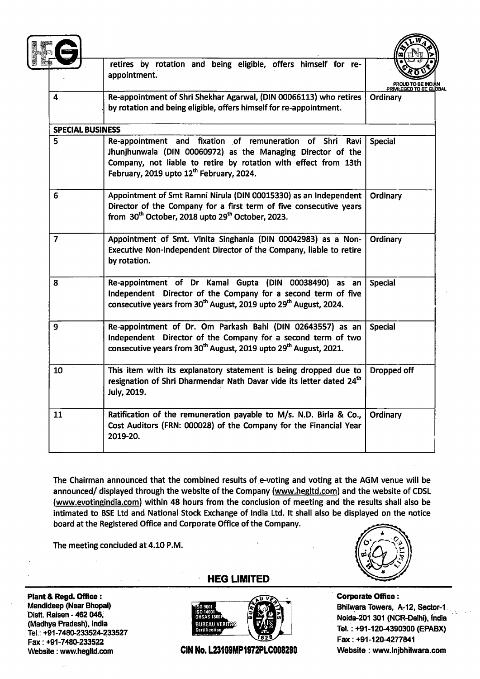|                         | retires by rotation and being eligible, offers himself for re-<br>appointment.                                                                                                                                                         |                |
|-------------------------|----------------------------------------------------------------------------------------------------------------------------------------------------------------------------------------------------------------------------------------|----------------|
| 4                       | Re-appointment of Shri Shekhar Agarwal, (DIN 00066113) who retires<br>by rotation and being eligible, offers himself for re-appointment.                                                                                               | Ordinary       |
| <b>SPECIAL BUSINESS</b> |                                                                                                                                                                                                                                        |                |
| 5                       | Re-appointment and fixation of remuneration of Shri Ravi<br>Jhunihunwala (DIN 00060972) as the Managing Director of the<br>Company, not liable to retire by rotation with effect from 13th<br>February, 2019 upto 12th February, 2024. | <b>Special</b> |
| 6                       | Appointment of Smt Ramni Nirula (DIN 00015330) as an Independent<br>Director of the Company for a first term of five consecutive years<br>from 30 <sup>th</sup> October, 2018 upto 29 <sup>th</sup> October, 2023.                     | Ordinary       |
| $\overline{7}$          | Appointment of Smt. Vinita Singhania (DIN 00042983) as a Non-<br>Executive Non-Independent Director of the Company, liable to retire<br>by rotation.                                                                                   | Ordinary       |
| 8                       | Re-appointment of Dr Kamal Gupta (DIN 00038490) as an<br>Independent Director of the Company for a second term of five<br>consecutive years from 30 <sup>th</sup> August, 2019 upto 29 <sup>th</sup> August, 2024.                     | <b>Special</b> |
| 9                       | Re-appointment of Dr. Om Parkash Bahl (DIN 02643557) as an<br>Independent Director of the Company for a second term of two<br>consecutive years from 30 <sup>th</sup> August, 2019 upto 29 <sup>th</sup> August, 2021.                 | <b>Special</b> |
| 10                      | This item with its explanatory statement is being dropped due to<br>resignation of Shri Dharmendar Nath Davar vide its letter dated 24 <sup>th</sup><br><b>July, 2019.</b>                                                             | Dropped off    |
| 11                      | Ratification of the remuneration payable to M/s. N.D. Birla & Co.,<br>Cost Auditors (FRN: 000028) of the Company for the Financial Year<br>2019-20.                                                                                    | Ordinary       |

The Chairman announced that the combined results of e-voting and voting at the AGM venue will be announced/ displayed through the website of the Company (www.hegltd.com) and the website of CDSL (www.evotingindia.com) within 48 hours from the conclusion of meeting and the results shall also be intimated to BSE Ltd and National Stock Exchange of lndia Ltd. lt shall also be displayed on the notice board at the Registered Office and Corporate Office of the Company.

The meeting concluded at 4.10 P.M.

Plant & Regd. Office : Mandidep (Near Bhopal) Distt. Raisen - 462 046, (Madhya Pradesh), India Tel.: +91-7480-233524-233527 Fax: +91-7480-233522 Website : www.hegltd.com

HEG LIMITED



CIN No. L23109MP1972PLC008290 Website : www.lnjbhilwara.com



Corporate Office : Bhilwara Towers, A-12, Sector-1. Noida-201 301 (NGR-Delhi), India Tel. : +91-120-4390300 (EPABX) Fax: +91-120-4277841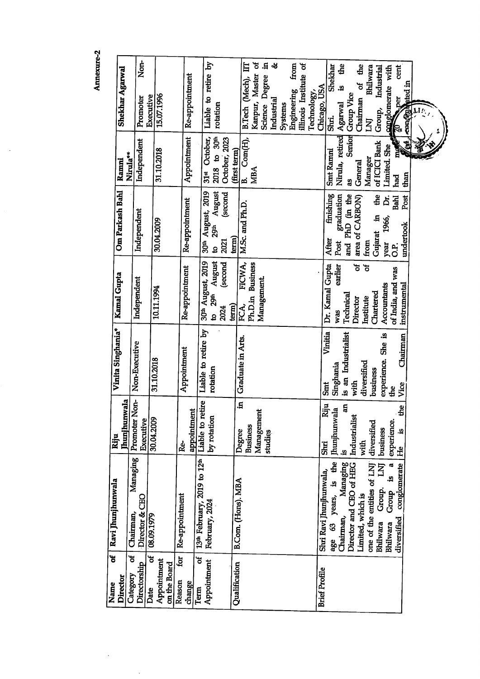Annexure-2

 $\ddot{\phantom{0}}$ 

 $\frac{1}{2}$ 

 $\ddot{\phantom{0}}$ 

| ន<br>Director<br>Name                               | Ravi Jhunjhunwala                                                                                                                                         | <b>Jhunjhunwala</b><br>Riju                                              | Vinita Singhania*                                                            | Kamal Gupta                                                                       | Om Parkash Bahl                                                                   | Nirula**<br>Ramni                                              | <b>Shekhar Agarwal</b>                                                            |
|-----------------------------------------------------|-----------------------------------------------------------------------------------------------------------------------------------------------------------|--------------------------------------------------------------------------|------------------------------------------------------------------------------|-----------------------------------------------------------------------------------|-----------------------------------------------------------------------------------|----------------------------------------------------------------|-----------------------------------------------------------------------------------|
| ಕ<br>Directorship<br>Category                       | Managing<br>Director & CEO<br>Chairman,                                                                                                                   | Non-<br>Promoter<br>Executive                                            | Non-Executive                                                                | Independent                                                                       | Independent                                                                       | Independent                                                    | Non-<br>Promoter                                                                  |
| $\mathbf{e}$<br>Appointment<br>on the Board<br>Date | 08.09.1979                                                                                                                                                | 30.04.2009                                                               | 31.10.2018                                                                   | 10.11.1994                                                                        | 30.04.2009                                                                        | 31.10.2018                                                     | 15.07.1996<br>Executive                                                           |
| for<br>Reason<br>change                             | Re-appointment                                                                                                                                            | appointment<br><b>Re-</b>                                                | Appointment                                                                  | Re-appointment                                                                    | Re-appointment                                                                    | Appointment                                                    | Re-appointment                                                                    |
| ಕ<br>Appointment<br>Term                            | 13th February, 2019 to 12th<br>February, 2024                                                                                                             | Liable to retire<br>by rotation                                          | Liable to retire by<br>rotation                                              | August<br>30 <sup>th</sup> August, 2019<br>second<br>29th<br>2024<br>$\mathbf{a}$ | August<br>30th August, 2019<br>(second<br><b>29th</b><br>2021<br>$\mathbf{a}$     | 2018 to 30th<br>October,<br>October, 2023<br>$31$ st           | Liable to retire by<br>rotation                                                   |
| Qualification                                       | B.Com. (Hons). MBA                                                                                                                                        | Ē.<br>Degree                                                             | Graduate in Arts.                                                            | FICWA,<br>term)<br>FCA,                                                           | term)                                                                             | (first term)                                                   |                                                                                   |
|                                                     |                                                                                                                                                           | Management<br><b>Business</b><br>studies                                 |                                                                              | <b>Business</b><br>Management.<br>Ph.D.in                                         | M.Sc. and Ph.D.                                                                   | Com(H),<br><b>MBA</b><br>B.                                    | Kanpur, Master of<br>$\mathbf{H}$<br>日.<br>Science Degree<br>B.Tech (Mech),       |
|                                                     |                                                                                                                                                           |                                                                          |                                                                              |                                                                                   |                                                                                   |                                                                | -2<br>Industrial<br>Systems                                                       |
|                                                     |                                                                                                                                                           |                                                                          |                                                                              |                                                                                   |                                                                                   |                                                                | illinois Institute of<br>from<br>Engineering                                      |
| <b>Brief Profile</b>                                |                                                                                                                                                           |                                                                          |                                                                              |                                                                                   |                                                                                   |                                                                | Chicago, USA<br>Technology,                                                       |
|                                                     | age 63 years, is the<br>Chairman, Managing<br>Director and CEO of HEG<br>Shri Ravi Jhunjhunwala,                                                          | Riju<br>an<br>Jhunjhunwala<br>Industrialist<br>Shri<br>.9                | Vinitia<br>is an Industrialist<br>Singhania<br>with<br>Smt                   | ৳<br>Dr. Kamal Gupta<br>earlier<br>Technical<br>Director<br>was                   | graduation<br>finishing<br>and PhD (in the<br>area of CARBON)<br>After<br>Post    | Senior<br>Nirula, retired<br><b>Smt Rammi</b><br>General<br>as | £<br>å<br>Shekhar<br>ಕ<br>.역<br><b>Group Vice</b><br>Chairman<br>Agarwal<br>Shri. |
|                                                     | one of the entities of LNJ<br>$\overline{\mathbf{z}}$<br>Group is a<br>conglomerate<br>Group.<br>Limited, which is<br>diversified<br>Bhilwara<br>Bhilwara | the<br>diversified<br>experience.<br>business<br>٩.<br>with<br><b>He</b> | experience. She is<br>Chairman<br>diversified<br>business<br>Vice<br>the<br> | ័<br>of India, and was<br>Accountants<br>Chartered<br>Institute                   | the<br><b>Bahl</b><br>ā.<br>Gujarat in<br>1966,<br>from<br>year<br>C <sub>1</sub> | of ICICI Bank<br><b>City</b><br>Limited. She<br>Manager<br>had | Bhilwara<br>cent<br>conglomerate with<br>Industrial<br>per<br>Group,<br>KI<br>k.  |
|                                                     |                                                                                                                                                           |                                                                          |                                                                              | instrumental                                                                      | Post<br>undertook                                                                 | Š<br>than                                                      | ated in<br>concent                                                                |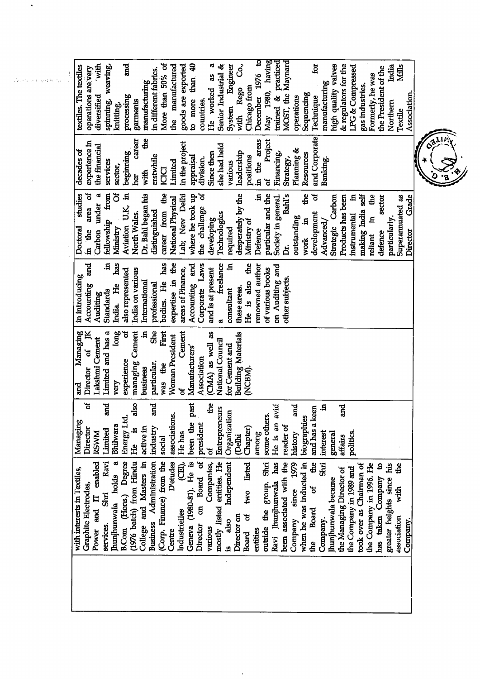Co.,  $\overline{a}$ December 1976 to <u>ថ្ងៃ</u> iwith More than 50% of to more than 40 He worked as a Senior Industrial & Engineer May 1980, having rained & practiced MOST, the Maynard high quality valves & regulators for the India Mills the manufactured goods are exported spinning, weaving, LPG & Compressed textiles. The textiles the President of the operations are very in different fabrics. Formerly, he was manufacturing manufacturing with Rego Chicago from gas industries. Sequencing diversified Association. processing operations Technique garments countries. knitting, Northern System Textile the  $\overline{ }$ and Corporate career in the areas Project experience in in the project she had held the financial Planning & beginning Financing, decades of Since then leadership Resources erstwhile appraisal **positions** Banking. Strategy, division. imited services various sector, **IOID** with đ of<br>O fellowship from  $\overline{C}$ Carbon under a Bahl's the I Aviation U.K, in Or. Bahl began his particular and the in the area of career from the Lab; New Delhi desperately by the  $\ddot{a}$ Society in general. Doctoral studies where he took up the challenge of ď the Strategic Carbon Products has been ٦Ē. making India self sector Superannuated as Grade **National Physical** distinguished Technologies development North Wales. **instrumental** outstanding .ធ particularly.  $\mathbf{a}$ developing Ministry of Advanced/ Ministry required **Defence** Director defence reliant work has Ę. expertise in the bodies. He has Corporate Laws freelance and<br>5 Accounting and Ę. He is also the renowned author on Auditing and India on various areas of Finance, and is at present of various books also represented in introducing other subjects. International Accounting India. He professional these areas. Standards consultant Auditing a First She long  $\mathbf{H}$ Managing Limited and has a ้ซี managing Cement Cement (CMA) as well as **Building Materials** Woman President Lakshmi Cement National Council for Cement and Manufacturers' Director of Association experience particular. was the business NCBM) very and ৳ and also been the past  $\mathbf{d}$ e ಕ and and and Ē. He is an avid Entrepreneurs and has a keen Organization associations. some others. biographies Energy Ltd. Managing president Bhilwara .9 industry reader of active in Director Chapter) imited among He has **NVMS** politics. history interest general affairs **Delhi** social ይ<br>ተ ಕ  $(CEI)$ , (1976 batch) from Hindu (Corp. Finance) from the has Ravi **Business** Administration D'etudes mostly listed entities. He Independent  $\frac{1}{2}$  $\frac{1}{2}$ hunihunwala holds a B.Com (Hons.) Degree College and Masters in Geneva (1980-81). He is Director on Board of two listed been associated with the 1979 when he was inducted in Power and IT enabled outside the group. Shri Companies, the took over as Chairman of the Company in 1996. He has taken Company to greater heights since his the Managing Director of the Company in 1989 and with interests in Textiles. hunjhunwala became Ravi Jhunjhunwala Graphite Electrodes, Company since Shri ಕ with **Board** Industrielles is also Board of Director on association Company. Company. services. various entities Centre the<br>S

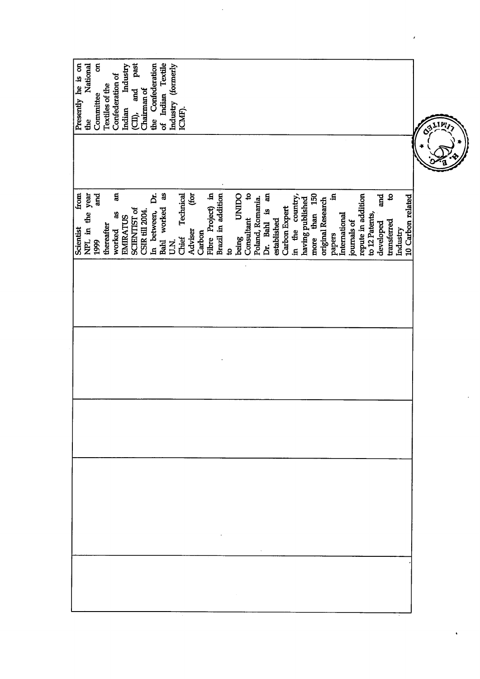| Presently he is on       | National<br>the | ã<br>Committee | Textiles of the | Confederation of              | Industry<br>Indian | past<br>and<br>(CII) | Chairman of            | the Confederation | of Indian Textile | Industry (formerly | ICMF).             |              |        |                                         |              |               |                       |                            |                  |                  |             |               |                 |                  |                  |                   |              |               |             |                    |                |                  |                                 |          |                   |  | CALIM, |  |
|--------------------------|-----------------|----------------|-----------------|-------------------------------|--------------------|----------------------|------------------------|-------------------|-------------------|--------------------|--------------------|--------------|--------|-----------------------------------------|--------------|---------------|-----------------------|----------------------------|------------------|------------------|-------------|---------------|-----------------|------------------|------------------|-------------------|--------------|---------------|-------------|--------------------|----------------|------------------|---------------------------------|----------|-------------------|--|--------|--|
| from<br><b>Scientist</b> | NPL in the year | and<br>1999    | thereafter      | $\overline{a}$<br>å<br>worked | <b>EMIRATUS</b>    | <b>SCIENTIST of</b>  | <b>CSIR till 2004.</b> | έ<br>In between,  | å<br>Bahl worked  | <b>NU</b>          | Technical<br>Chief | E<br>Adviser | Carbon | Fibre Project) in<br>Brazil in addition | $\mathbf{a}$ |               | <b>UNIDO</b><br>being | $\mathbf{S}$<br>Consultant | Poland, Romania. | E<br>Dr. Bahl is | established | Carbon Expert | in the country, | having published | than 150<br>more | original Research | E.<br>papers | International | journals of | repute in addition | to 12 Patents, | and<br>developed | $\boldsymbol{s}$<br>transferred | Industry | 10 Carbon related |  |        |  |
|                          |                 |                |                 |                               |                    |                      |                        |                   |                   |                    |                    |              |        |                                         |              |               |                       |                            |                  |                  |             |               |                 |                  |                  |                   |              |               |             |                    |                |                  |                                 |          |                   |  |        |  |
|                          |                 |                |                 |                               |                    |                      |                        |                   |                   |                    |                    |              |        |                                         |              |               |                       |                            |                  |                  |             |               |                 |                  |                  |                   |              |               |             |                    |                |                  |                                 |          |                   |  |        |  |
|                          |                 |                |                 |                               |                    |                      |                        |                   |                   |                    |                    |              |        |                                         |              |               |                       |                            |                  |                  |             |               |                 |                  |                  |                   |              |               |             |                    |                |                  |                                 |          |                   |  |        |  |
|                          |                 |                |                 |                               |                    |                      |                        |                   |                   |                    |                    |              |        |                                         |              | $\sim$ $\sim$ |                       |                            |                  |                  |             |               |                 |                  |                  |                   |              |               |             |                    |                |                  |                                 |          |                   |  |        |  |

 $\ddot{\phantom{0}}$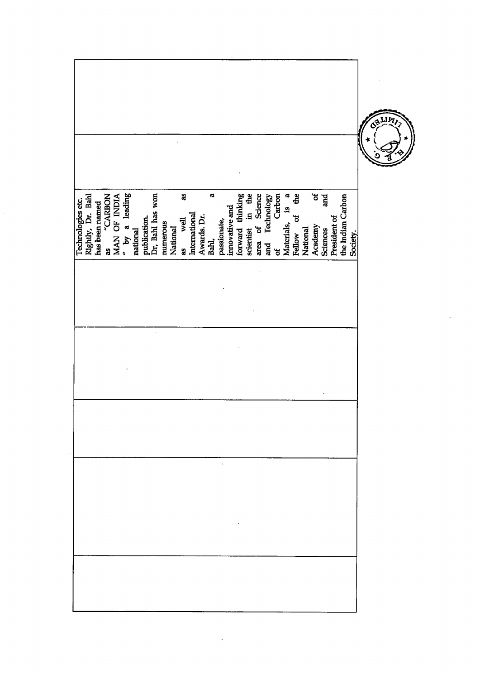|                                        |                |                               |                     |                          |                      |          |          |               |               |             |                   |             |                |                  |                     |                    |                   |             |                                  |                  |          |              |                        |              |                   |          |  | <b>BLIM</b> |  |
|----------------------------------------|----------------|-------------------------------|---------------------|--------------------------|----------------------|----------|----------|---------------|---------------|-------------|-------------------|-------------|----------------|------------------|---------------------|--------------------|-------------------|-------------|----------------------------------|------------------|----------|--------------|------------------------|--------------|-------------------|----------|--|-------------|--|
| Rightly, Dr. Bahl<br>Technologies etc. | has been named | MAN OF INDIA<br>"CARBON<br>as | leading<br>$x$ by a | publication.<br>national | Dr, Bahl has won     | numerous | National | åS<br>as well | International | Awards. Dr. | $\sigma$<br>Bahl, | passionate, | innovative and | forward thinking | in the<br>scientist | of Science<br>area | Technology<br>and | Carbon<br>ಕ | $\mathbf{a}$<br>.9<br>Materials, | £<br>ಕ<br>Fellow | National | ð<br>Academy | and<br><b>Sciences</b> | President of | the Indian Carbon | Society. |  |             |  |
|                                        |                |                               |                     |                          | $\ddot{\phantom{0}}$ |          |          |               |               |             |                   |             |                |                  |                     |                    |                   |             |                                  |                  |          |              |                        |              |                   |          |  |             |  |
|                                        |                |                               |                     |                          |                      |          |          |               |               |             |                   |             |                |                  |                     |                    |                   |             |                                  |                  |          |              |                        |              |                   |          |  |             |  |
|                                        |                |                               |                     |                          |                      |          |          |               |               |             |                   |             |                |                  |                     |                    |                   |             |                                  |                  |          |              |                        |              |                   |          |  |             |  |
|                                        |                |                               |                     |                          |                      |          |          |               |               |             |                   |             |                |                  |                     |                    |                   |             |                                  |                  |          |              |                        |              |                   |          |  |             |  |

 $\ddot{\phantom{1}}$